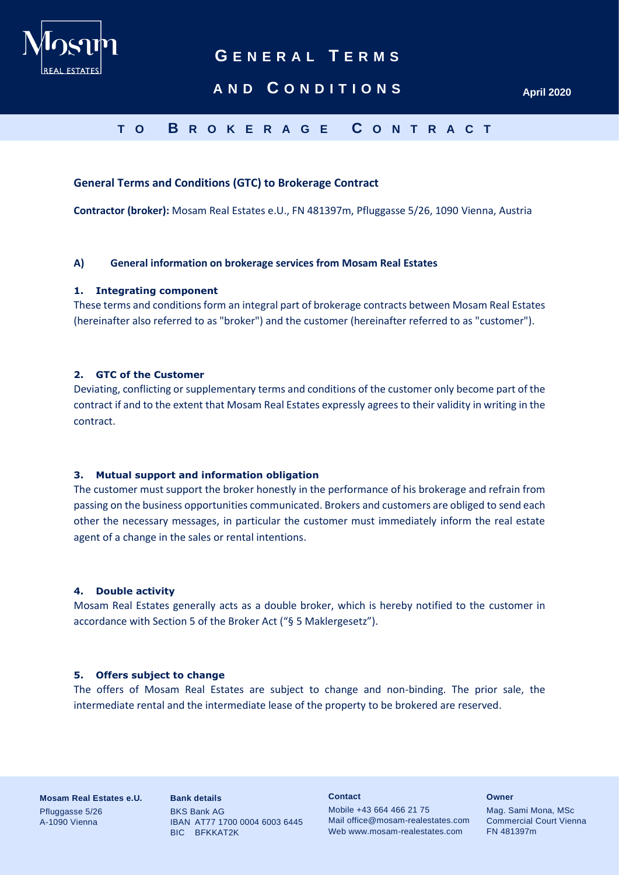

# **AND C O N D I T I O N S April 2020**

# **T O B R O K E R A G E C O N T R A C T**

# **General Terms and Conditions (GTC) to Brokerage Contract**

**Contractor (broker):** Mosam Real Estates e.U., FN 481397m, Pfluggasse 5/26, 1090 Vienna, Austria

## **A) General information on brokerage services from Mosam Real Estates**

# **1. Integrating component**

These terms and conditions form an integral part of brokerage contracts between Mosam Real Estates (hereinafter also referred to as "broker") and the customer (hereinafter referred to as "customer").

# **2. GTC of the Customer**

Deviating, conflicting or supplementary terms and conditions of the customer only become part of the contract if and to the extent that Mosam Real Estates expressly agrees to their validity in writing in the contract.

## **3. Mutual support and information obligation**

The customer must support the broker honestly in the performance of his brokerage and refrain from passing on the business opportunities communicated. Brokers and customers are obliged to send each other the necessary messages, in particular the customer must immediately inform the real estate agent of a change in the sales or rental intentions.

#### **4. Double activity**

Mosam Real Estates generally acts as a double broker, which is hereby notified to the customer in accordance with Section 5 of the Broker Act ("§ 5 Maklergesetz").

## **5. Offers subject to change**

The offers of Mosam Real Estates are subject to change and non-binding. The prior sale, the intermediate rental and the intermediate lease of the property to be brokered are reserved.

**Mosam Real Estates e.U.** Pfluggasse 5/26 A-1090 Vienna

**Bank details** BKS Bank AG IBAN AT77 1700 0004 6003 6445 BIC BFKKAT2K

**Contact**

Mobile +43 664 466 21 75 Mail office@mosam-realestates.com Web www.mosam-realestates.com

**Owner**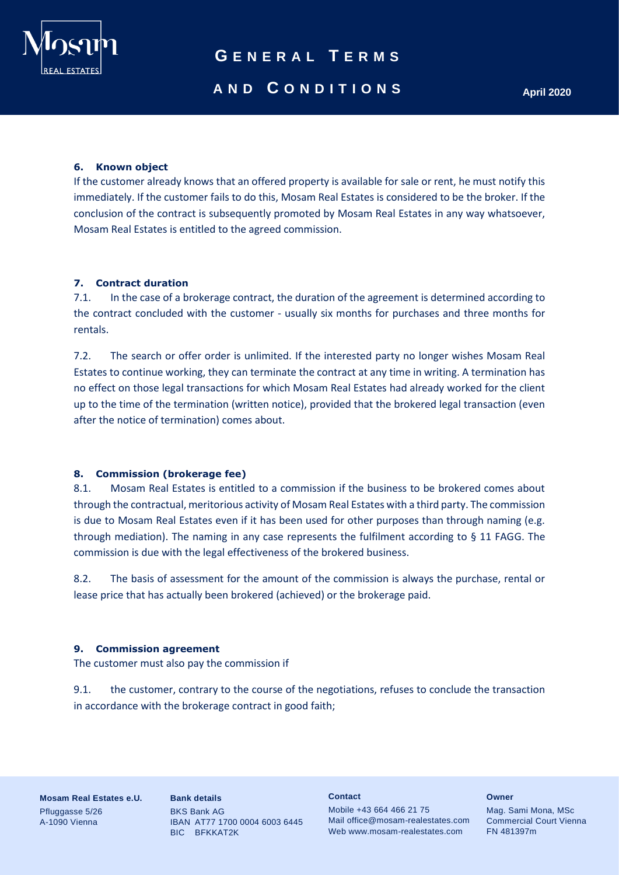

# **AND C O N D I T I O N S April 2020**

# **6. Known object**

If the customer already knows that an offered property is available for sale or rent, he must notify this immediately. If the customer fails to do this, Mosam Real Estates is considered to be the broker. If the conclusion of the contract is subsequently promoted by Mosam Real Estates in any way whatsoever, Mosam Real Estates is entitled to the agreed commission.

## **7. Contract duration**

7.1. In the case of a brokerage contract, the duration of the agreement is determined according to the contract concluded with the customer - usually six months for purchases and three months for rentals.

7.2. The search or offer order is unlimited. If the interested party no longer wishes Mosam Real Estates to continue working, they can terminate the contract at any time in writing. A termination has no effect on those legal transactions for which Mosam Real Estates had already worked for the client up to the time of the termination (written notice), provided that the brokered legal transaction (even after the notice of termination) comes about.

# **8. Commission (brokerage fee)**

8.1. Mosam Real Estates is entitled to a commission if the business to be brokered comes about through the contractual, meritorious activity of Mosam Real Estates with a third party. The commission is due to Mosam Real Estates even if it has been used for other purposes than through naming (e.g. through mediation). The naming in any case represents the fulfilment according to § 11 FAGG. The commission is due with the legal effectiveness of the brokered business.

8.2. The basis of assessment for the amount of the commission is always the purchase, rental or lease price that has actually been brokered (achieved) or the brokerage paid.

## **9. Commission agreement**

The customer must also pay the commission if

9.1. the customer, contrary to the course of the negotiations, refuses to conclude the transaction in accordance with the brokerage contract in good faith;

**Mosam Real Estates e.U.** Pfluggasse 5/26 A-1090 Vienna

**Bank details** BKS Bank AG IBAN AT77 1700 0004 6003 6445 BIC BFKKAT2K

**Contact**

Mobile +43 664 466 21 75 Mail office@mosam-realestates.com Web www.mosam-realestates.com

**Owner**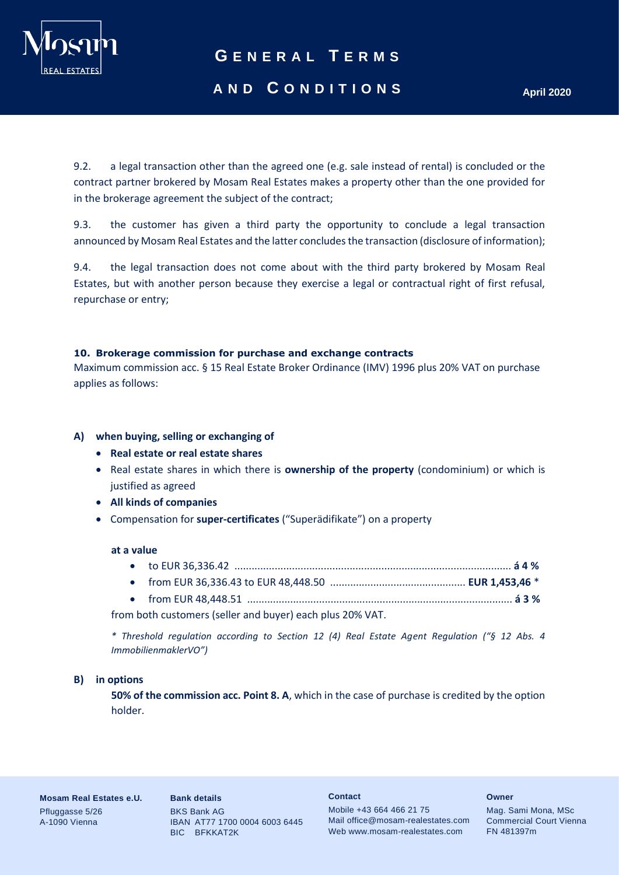

# **AND C O N D I T I O N S April 2020**

9.2. a legal transaction other than the agreed one (e.g. sale instead of rental) is concluded or the contract partner brokered by Mosam Real Estates makes a property other than the one provided for in the brokerage agreement the subject of the contract;

9.3. the customer has given a third party the opportunity to conclude a legal transaction announced by Mosam Real Estates and the latter concludes the transaction (disclosure of information);

9.4. the legal transaction does not come about with the third party brokered by Mosam Real Estates, but with another person because they exercise a legal or contractual right of first refusal, repurchase or entry;

# **10. Brokerage commission for purchase and exchange contracts**

Maximum commission acc. § 15 Real Estate Broker Ordinance (IMV) 1996 plus 20% VAT on purchase applies as follows:

# **A) when buying, selling or exchanging of**

- **Real estate or real estate shares**
- Real estate shares in which there is **ownership of the property** (condominium) or which is justified as agreed
- **All kinds of companies**
- Compensation for **super-certificates** ("Superädifikate") on a property

## **at a value**

• from EUR 48,448.51 ............................................................................................ **á 3 %**

from both customers (seller and buyer) each plus 20% VAT.

*\* Threshold regulation according to Section 12 (4) Real Estate Agent Regulation ("§ 12 Abs. 4 ImmobilienmaklerVO")*

## **B) in options**

**50% of the commission acc. Point 8. A**, which in the case of purchase is credited by the option holder.

**Mosam Real Estates e.U.** Pfluggasse 5/26 A-1090 Vienna

**Bank details** BKS Bank AG IBAN AT77 1700 0004 6003 6445 BIC BFKKAT2K

### **Contact**

Mobile +43 664 466 21 75 Mail office@mosam-realestates.com Web www.mosam-realestates.com

#### **Owner**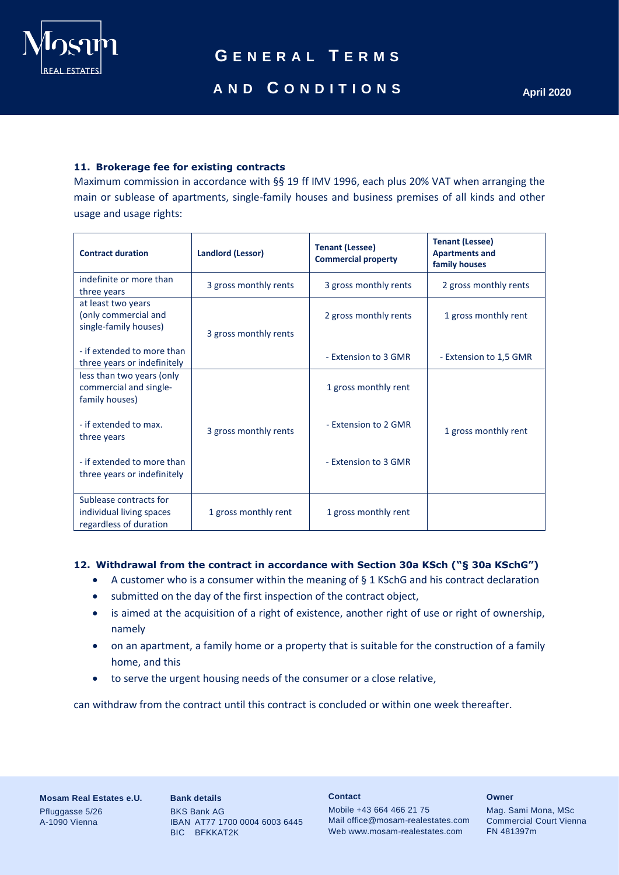

# **11. Brokerage fee for existing contracts**

Maximum commission in accordance with §§ 19 ff IMV 1996, each plus 20% VAT when arranging the main or sublease of apartments, single-family houses and business premises of all kinds and other usage and usage rights:

| <b>Contract duration</b>                                                     | <b>Landlord (Lessor)</b> | <b>Tenant (Lessee)</b><br><b>Commercial property</b> | <b>Tenant (Lessee)</b><br><b>Apartments and</b><br>family houses |
|------------------------------------------------------------------------------|--------------------------|------------------------------------------------------|------------------------------------------------------------------|
| indefinite or more than<br>three years                                       | 3 gross monthly rents    | 3 gross monthly rents                                | 2 gross monthly rents                                            |
| at least two years<br>(only commercial and<br>single-family houses)          | 3 gross monthly rents    | 2 gross monthly rents                                | 1 gross monthly rent                                             |
| - if extended to more than<br>three years or indefinitely                    |                          | - Extension to 3 GMR                                 | - Extension to 1,5 GMR                                           |
| less than two years (only<br>commercial and single-<br>family houses)        |                          | 1 gross monthly rent                                 |                                                                  |
| - if extended to max.<br>three years                                         | 3 gross monthly rents    | - Extension to 2 GMR                                 | 1 gross monthly rent                                             |
| - if extended to more than<br>three years or indefinitely                    |                          | - Extension to 3 GMR                                 |                                                                  |
| Sublease contracts for<br>individual living spaces<br>regardless of duration | 1 gross monthly rent     | 1 gross monthly rent                                 |                                                                  |

# **12. Withdrawal from the contract in accordance with Section 30a KSch ("§ 30a KSchG")**

- A customer who is a consumer within the meaning of § 1 KSchG and his contract declaration
- submitted on the day of the first inspection of the contract object,
- is aimed at the acquisition of a right of existence, another right of use or right of ownership, namely
- on an apartment, a family home or a property that is suitable for the construction of a family home, and this
- to serve the urgent housing needs of the consumer or a close relative,

can withdraw from the contract until this contract is concluded or within one week thereafter.

**Mosam Real Estates e.U.** Pfluggasse 5/26 A-1090 Vienna

**Bank details** BKS Bank AG IBAN AT77 1700 0004 6003 6445 BIC BFKKAT2K

**Contact**

Mobile +43 664 466 21 75 Mail office@mosam-realestates.com Web www.mosam-realestates.com

**Owner**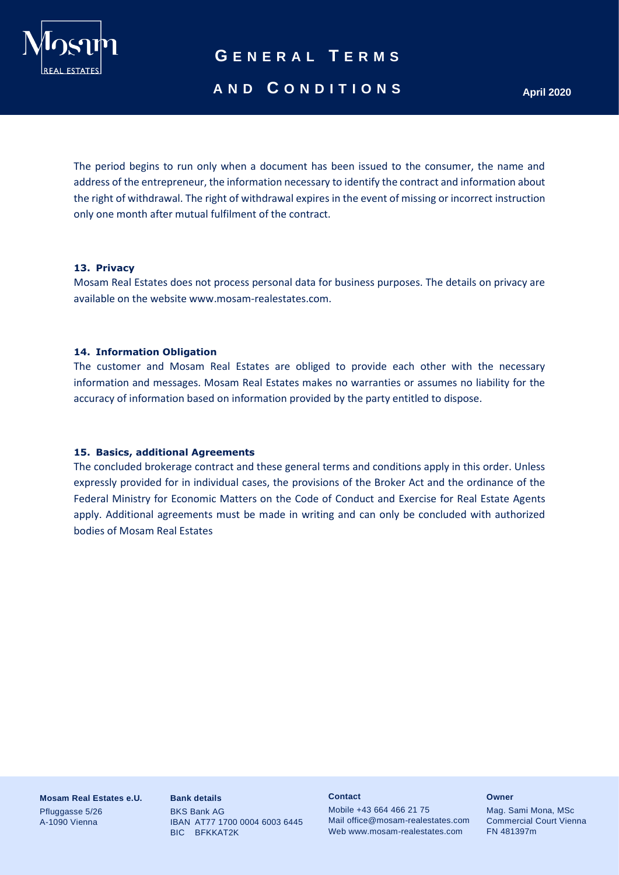

# **AND C O N D I T I O N S April 2020**

The period begins to run only when a document has been issued to the consumer, the name and address of the entrepreneur, the information necessary to identify the contract and information about the right of withdrawal. The right of withdrawal expires in the event of missing or incorrect instruction only one month after mutual fulfilment of the contract.

## **13. Privacy**

Mosam Real Estates does not process personal data for business purposes. The details on privacy are available on the website www.mosam-realestates.com.

# **14. Information Obligation**

The customer and Mosam Real Estates are obliged to provide each other with the necessary information and messages. Mosam Real Estates makes no warranties or assumes no liability for the accuracy of information based on information provided by the party entitled to dispose.

# **15. Basics, additional Agreements**

The concluded brokerage contract and these general terms and conditions apply in this order. Unless expressly provided for in individual cases, the provisions of the Broker Act and the ordinance of the Federal Ministry for Economic Matters on the Code of Conduct and Exercise for Real Estate Agents apply. Additional agreements must be made in writing and can only be concluded with authorized bodies of Mosam Real Estates

**Mosam Real Estates e.U.** Pfluggasse 5/26 A-1090 Vienna

**Bank details** BKS Bank AG IBAN AT77 1700 0004 6003 6445 BIC BFKKAT2K

#### **Contact**

Mobile +43 664 466 21 75 Mail office@mosam-realestates.com Web www.mosam-realestates.com

#### **Owner**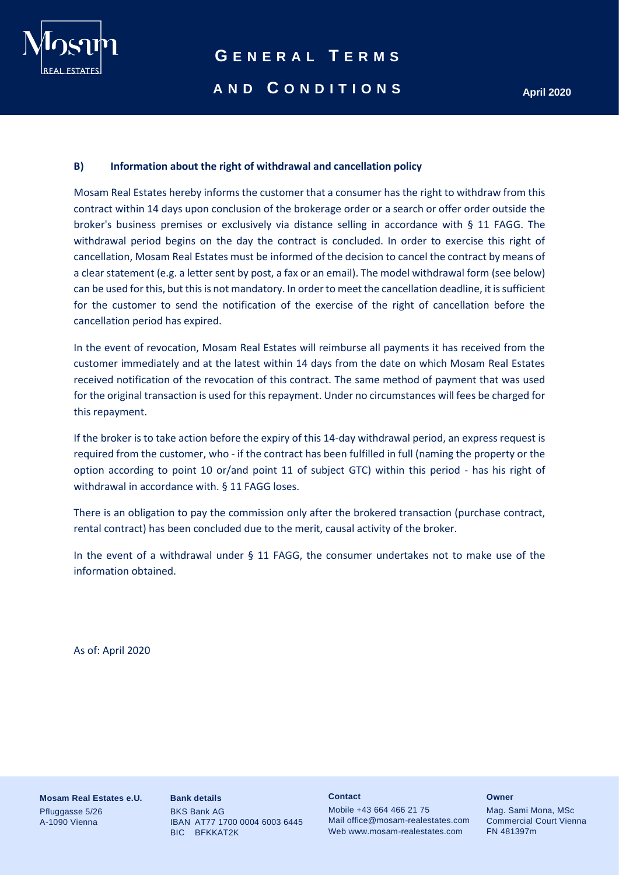

# **AND C O N D I T I O N S April 2020**

# **B) Information about the right of withdrawal and cancellation policy**

Mosam Real Estates hereby informs the customer that a consumer has the right to withdraw from this contract within 14 days upon conclusion of the brokerage order or a search or offer order outside the broker's business premises or exclusively via distance selling in accordance with § 11 FAGG. The withdrawal period begins on the day the contract is concluded. In order to exercise this right of cancellation, Mosam Real Estates must be informed of the decision to cancel the contract by means of a clear statement (e.g. a letter sent by post, a fax or an email). The model withdrawal form (see below) can be used for this, but this is not mandatory. In order to meet the cancellation deadline, it is sufficient for the customer to send the notification of the exercise of the right of cancellation before the cancellation period has expired.

In the event of revocation, Mosam Real Estates will reimburse all payments it has received from the customer immediately and at the latest within 14 days from the date on which Mosam Real Estates received notification of the revocation of this contract. The same method of payment that was used for the original transaction is used for this repayment. Under no circumstances will fees be charged for this repayment.

If the broker is to take action before the expiry of this 14-day withdrawal period, an express request is required from the customer, who - if the contract has been fulfilled in full (naming the property or the option according to point 10 or/and point 11 of subject GTC) within this period - has his right of withdrawal in accordance with. § 11 FAGG loses.

There is an obligation to pay the commission only after the brokered transaction (purchase contract, rental contract) has been concluded due to the merit, causal activity of the broker.

In the event of a withdrawal under § 11 FAGG, the consumer undertakes not to make use of the information obtained.

As of: April 2020

**Mosam Real Estates e.U.** Pfluggasse 5/26 A-1090 Vienna

**Bank details** BKS Bank AG IBAN AT77 1700 0004 6003 6445 BIC BFKKAT2K

#### **Contact**

Mobile +43 664 466 21 75 Mail office@mosam-realestates.com Web www.mosam-realestates.com

#### **Owner**